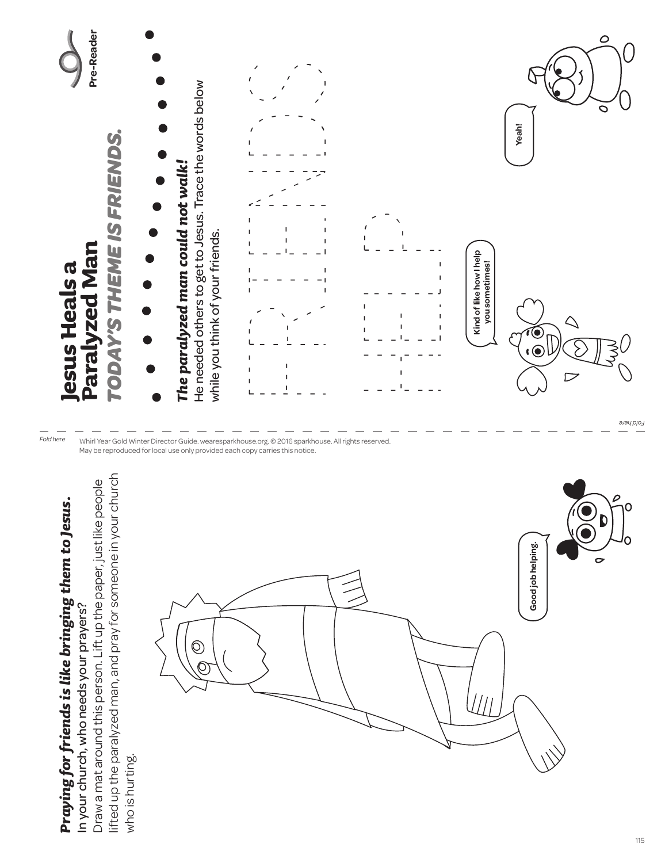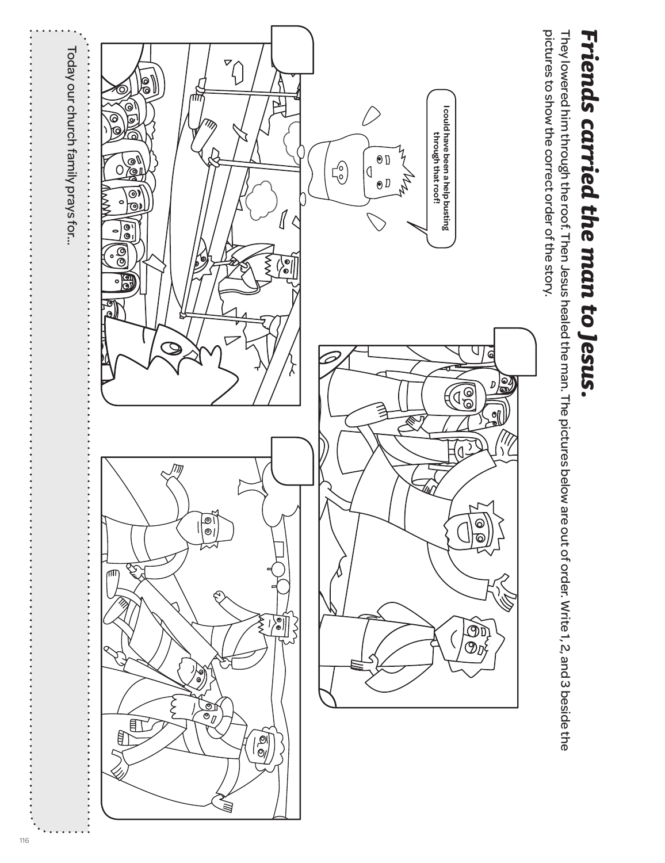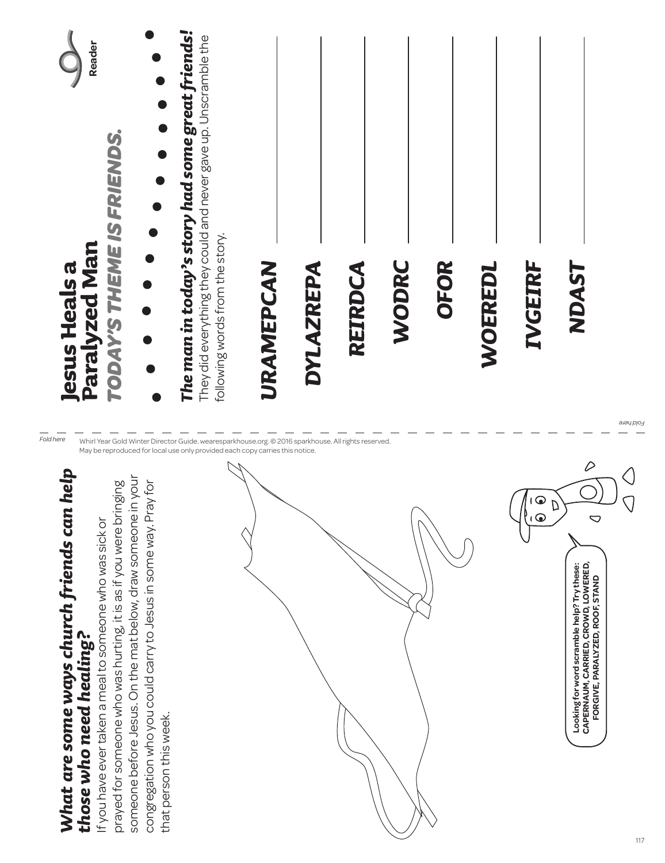| Reader<br>TODAY'S THEME IS FRIENDS.<br>Paralyzed Man<br><b>lesus Heals a</b>                                                                                                                                                                                                                                                                                                                                                                                                                                                                                                | The man in today's story had some great friends!<br>They did everything they could and never gave up. Unscramble the<br>following words from the story. | URAMEPCAN | DYLAZREPA | REIRDCA | WODRC | OFOR | <b>/OEREDI</b> | IVGEIRF                    | NDAS7                                                                                                                                               | <b>Lold here</b> |
|-----------------------------------------------------------------------------------------------------------------------------------------------------------------------------------------------------------------------------------------------------------------------------------------------------------------------------------------------------------------------------------------------------------------------------------------------------------------------------------------------------------------------------------------------------------------------------|---------------------------------------------------------------------------------------------------------------------------------------------------------|-----------|-----------|---------|-------|------|----------------|----------------------------|-----------------------------------------------------------------------------------------------------------------------------------------------------|------------------|
| Fold here<br>Whirl Year Gold Winter Director Guide. wearesparkhouse.org. © 2016 sparkhouse. All rights reserved.<br>May be reproduced for local use only provided each copy carries this notice.<br>nelp:<br>someone before Jesus. On the mat below, draw someone in your<br>congregation who you could carry to Jesus in some way. Pray for<br>prayed for someone who was hurting, it is as if you were bringing<br>What are some ways church friends can<br>If you have ever taken a meal to someone who was sick or<br>those who need healing?<br>that person this week. |                                                                                                                                                         |           |           |         |       |      |                | $\odot$<br>f<br>$\sqrt{2}$ | $\varnothing$<br>$\bigcirc$<br>CAPERNAUM, CARRIED, CROWD, LOWERED,<br>FORGIVE, PARALYZED, ROOF, STAND<br>Looking for word scramble help? Try these: |                  |